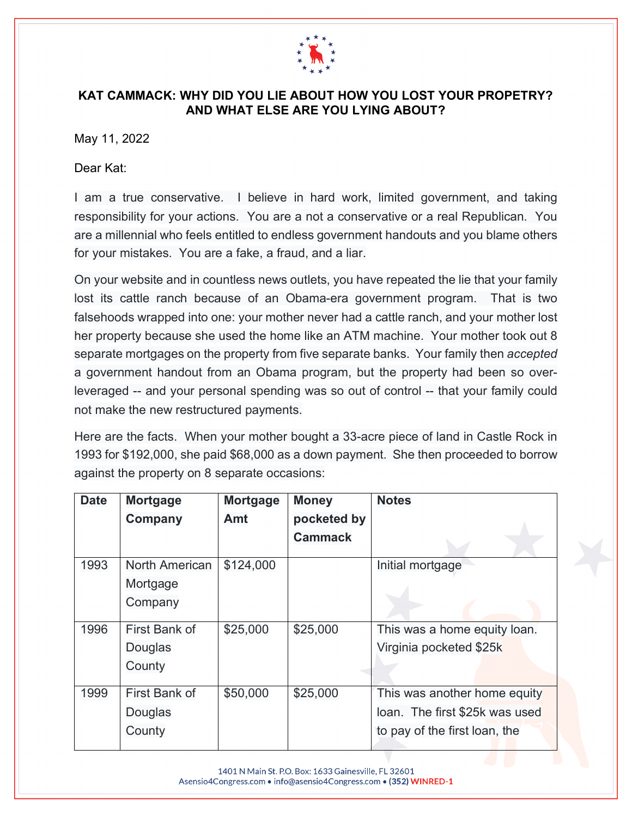

## **KAT CAMMACK: WHY DID YOU LIE ABOUT HOW YOU LOST YOUR PROPETRY? AND WHAT ELSE ARE YOU LYING ABOUT?**

May 11, 2022

Dear Kat:

I am a true conservative. I believe in hard work, limited government, and taking responsibility for your actions. You are a not a conservative or a real Republican. You are a millennial who feels entitled to endless government handouts and you blame others for your mistakes. You are a fake, a fraud, and a liar.

On your website and in countless news outlets, you have repeated the lie that your family lost its cattle ranch because of an Obama-era government program. That is two falsehoods wrapped into one: your mother never had a cattle ranch, and your mother lost her property because she used the home like an ATM machine. Your mother took out 8 separate mortgages on the property from five separate banks. Your family then *accepted* a government handout from an Obama program, but the property had been so overleveraged -- and your personal spending was so out of control -- that your family could not make the new restructured payments.

Here are the facts. When your mother bought a 33-acre piece of land in Castle Rock in 1993 for \$192,000, she paid \$68,000 as a down payment. She then proceeded to borrow against the property on 8 separate occasions:

| <b>Date</b> | <b>Mortgage</b>       | <b>Mortgage</b> | <b>Money</b>   | <b>Notes</b>                   |
|-------------|-----------------------|-----------------|----------------|--------------------------------|
|             | <b>Company</b>        | Amt             | pocketed by    |                                |
|             |                       |                 | <b>Cammack</b> |                                |
| 1993        | <b>North American</b> | \$124,000       |                | Initial mortgage               |
|             | Mortgage              |                 |                |                                |
|             | Company               |                 |                |                                |
|             |                       |                 |                |                                |
| 1996        | First Bank of         | \$25,000        | \$25,000       | This was a home equity loan.   |
|             | Douglas               |                 |                | Virginia pocketed \$25k        |
|             | County                |                 |                |                                |
|             |                       |                 |                |                                |
| 1999        | First Bank of         | \$50,000        | \$25,000       | This was another home equity   |
|             | Douglas               |                 |                | loan. The first \$25k was used |
|             | County                |                 |                | to pay of the first loan, the  |
|             |                       |                 |                |                                |

1401 N Main St. P.O. Box: 1633 Gainesville, FL 32601 Asensio4Congress.com • info@asensio4Congress.com • (352) WINRED-1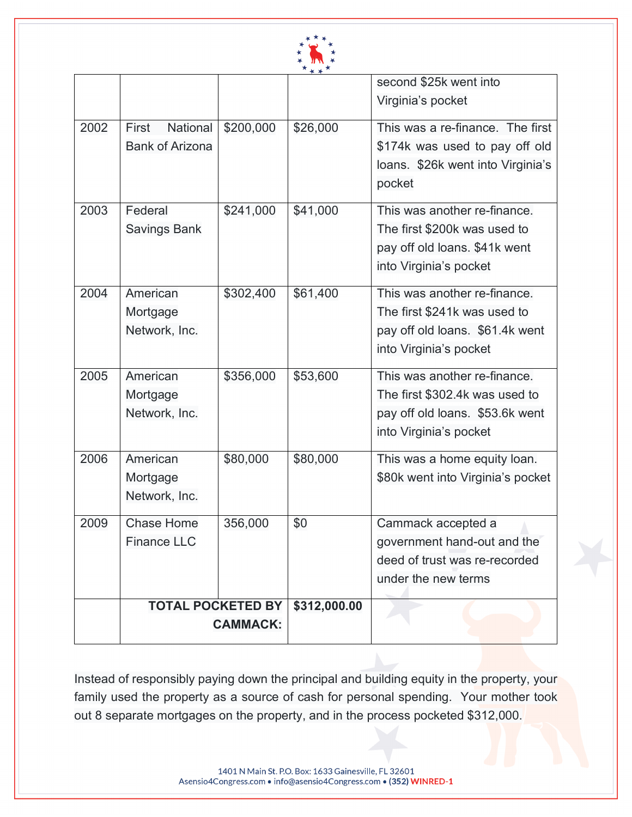

|                        |           |                          | second \$25k went into            |
|------------------------|-----------|--------------------------|-----------------------------------|
|                        |           |                          | Virginia's pocket                 |
| National<br>First      | \$200,000 | \$26,000                 | This was a re-finance. The first  |
| <b>Bank of Arizona</b> |           |                          | \$174k was used to pay off old    |
|                        |           |                          | loans. \$26k went into Virginia's |
|                        |           |                          | pocket                            |
| Federal                | \$241,000 | \$41,000                 | This was another re-finance.      |
| <b>Savings Bank</b>    |           |                          | The first \$200k was used to      |
|                        |           |                          | pay off old loans. \$41k went     |
|                        |           |                          | into Virginia's pocket            |
| American               | \$302,400 | \$61,400                 | This was another re-finance.      |
| Mortgage               |           |                          | The first \$241k was used to      |
| Network, Inc.          |           |                          | pay off old loans. \$61.4k went   |
|                        |           |                          | into Virginia's pocket            |
| American               | \$356,000 | \$53,600                 | This was another re-finance.      |
| Mortgage               |           |                          | The first \$302.4k was used to    |
| Network, Inc.          |           |                          | pay off old loans. \$53.6k went   |
|                        |           |                          | into Virginia's pocket            |
| American               | \$80,000  | \$80,000                 | This was a home equity loan.      |
| Mortgage               |           |                          | \$80k went into Virginia's pocket |
| Network, Inc.          |           |                          |                                   |
| <b>Chase Home</b>      | 356,000   | \$0                      | Cammack accepted a                |
| <b>Finance LLC</b>     |           |                          | government hand-out and the       |
|                        |           |                          | deed of trust was re-recorded     |
|                        |           |                          | under the new terms               |
|                        |           | \$312,000.00             |                                   |
| <b>CAMMACK:</b>        |           |                          |                                   |
|                        |           | <b>TOTAL POCKETED BY</b> |                                   |

Instead of responsibly paying down the principal and building equity in the property, your family used the property as a source of cash for personal spending. Your mother took out 8 separate mortgages on the property, and in the process pocketed \$312,000.

> 1401 N Main St. P.O. Box: 1633 Gainesville, FL 32601 Asensio4Congress.com • info@asensio4Congress.com • (352) WINRED-1